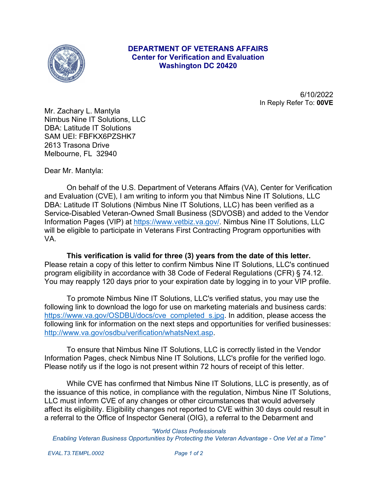

## **DEPARTMENT OF VETERANS AFFAIRS Center for Verification and Evaluation Washington DC 20420**

6/10/2022 In Reply Refer To: **00VE**

Mr. Zachary L. Mantyla Nimbus Nine IT Solutions, LLC DBA: Latitude IT Solutions SAM UEI: FBFKX6PZSHK7 2613 Trasona Drive Melbourne, FL 32940

Dear Mr. Mantyla:

On behalf of the U.S. Department of Veterans Affairs (VA), Center for Verification and Evaluation (CVE), I am writing to inform you that Nimbus Nine IT Solutions, LLC DBA: Latitude IT Solutions (Nimbus Nine IT Solutions, LLC) has been verified as a Service-Disabled Veteran-Owned Small Business (SDVOSB) and added to the Vendor Information Pages (VIP) at <https://www.vetbiz.va.gov/>. Nimbus Nine IT Solutions, LLC will be eligible to participate in Veterans First Contracting Program opportunities with VA.

**This verification is valid for three (3) years from the date of this letter.**  Please retain a copy of this letter to confirm Nimbus Nine IT Solutions, LLC's continued program eligibility in accordance with 38 Code of Federal Regulations (CFR) § 74.12. You may reapply 120 days prior to your expiration date by logging in to your VIP profile.

To promote Nimbus Nine IT Solutions, LLC's verified status, you may use the following link to download the logo for use on marketing materials and business cards: [https://www.va.gov/OSDBU/docs/cve\\_completed\\_s.jpg](https://www.va.gov/OSDBU/docs/cve_completed_s.jpg). In addition, please access the following link for information on the next steps and opportunities for verified businesses: <http://www.va.gov/osdbu/verification/whatsNext.asp>.

To ensure that Nimbus Nine IT Solutions, LLC is correctly listed in the Vendor Information Pages, check Nimbus Nine IT Solutions, LLC's profile for the verified logo. Please notify us if the logo is not present within 72 hours of receipt of this letter.

While CVE has confirmed that Nimbus Nine IT Solutions, LLC is presently, as of the issuance of this notice, in compliance with the regulation, Nimbus Nine IT Solutions, LLC must inform CVE of any changes or other circumstances that would adversely affect its eligibility. Eligibility changes not reported to CVE within 30 days could result in a referral to the Office of Inspector General (OIG), a referral to the Debarment and

## *"World Class Professionals*

*Enabling Veteran Business Opportunities by Protecting the Veteran Advantage - One Vet at a Time"*